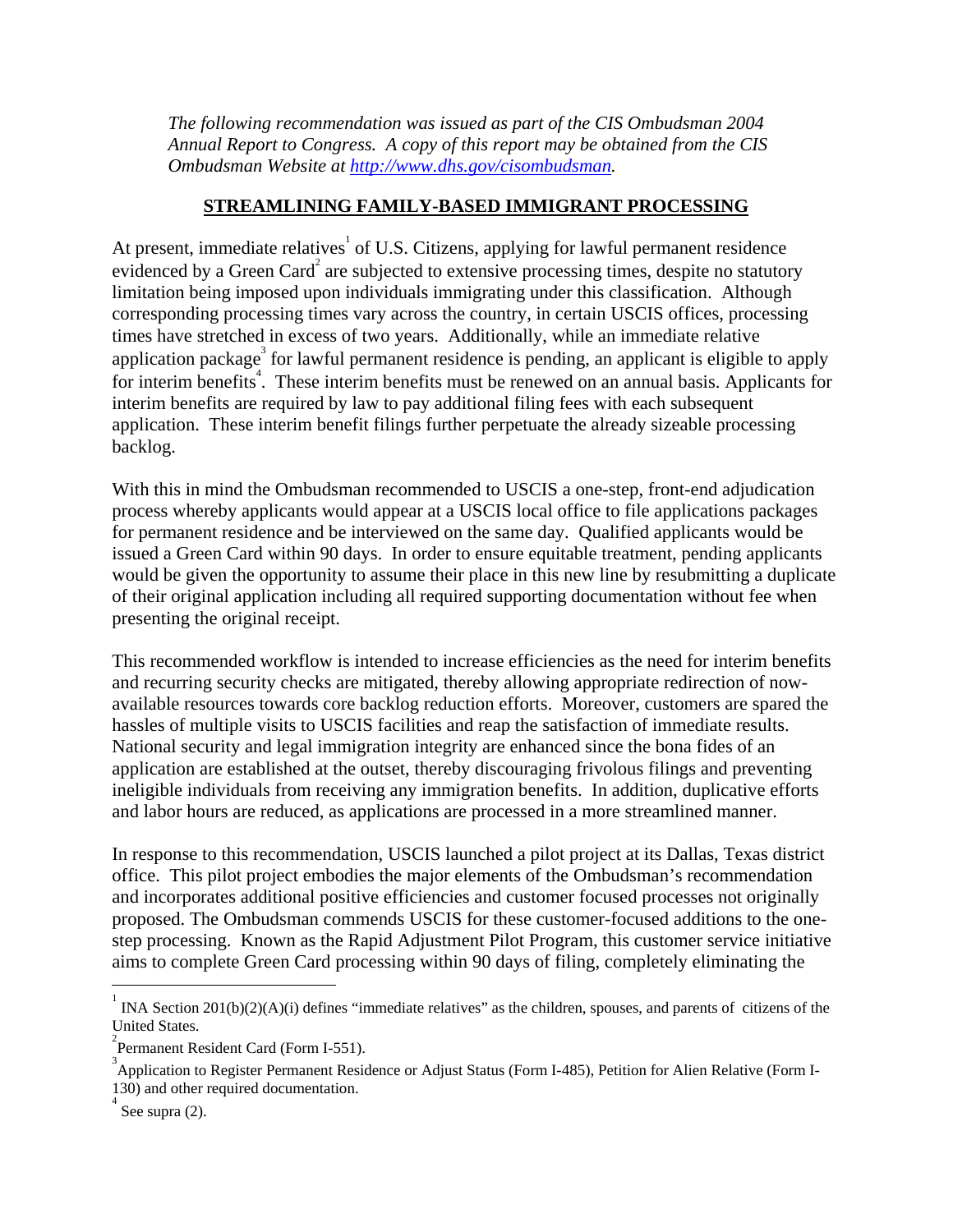*The following recommendation was issued as part of the CIS Ombudsman 2004 Annual Report to Congress. A copy of this report may be obtained from the CIS Ombudsman Website at http://www.dhs.gov/cisombudsman.* 

## **STREAMLINING FAMILY-BASED IMMIGRANT PROCESSING**

At present, immediate relatives of U.S. Citizens, applying for lawful permanent residence evidenced by a Green Card<sup>2</sup> are subjected to extensive processing times, despite no statutory limitation being imposed upon individuals immigrating under this classification. Although corresponding processing times vary across the country, in certain USCIS offices, processing times have stretched in excess of two years. Additionally, while an immediate relative application package<sup>3</sup> for lawful permanent residence is pending, an applicant is eligible to apply for interim benefits<sup>4</sup>. These interim benefits must be renewed on an annual basis. Applicants for interim benefits are required by law to pay additional filing fees with each subsequent application. These interim benefit filings further perpetuate the already sizeable processing backlog.

With this in mind the Ombudsman recommended to USCIS a one-step, front-end adjudication process whereby applicants would appear at a USCIS local office to file applications packages for permanent residence and be interviewed on the same day. Qualified applicants would be issued a Green Card within 90 days. In order to ensure equitable treatment, pending applicants would be given the opportunity to assume their place in this new line by resubmitting a duplicate of their original application including all required supporting documentation without fee when presenting the original receipt.

This recommended workflow is intended to increase efficiencies as the need for interim benefits and recurring security checks are mitigated, thereby allowing appropriate redirection of nowavailable resources towards core backlog reduction efforts. Moreover, customers are spared the hassles of multiple visits to USCIS facilities and reap the satisfaction of immediate results. National security and legal immigration integrity are enhanced since the bona fides of an application are established at the outset, thereby discouraging frivolous filings and preventing ineligible individuals from receiving any immigration benefits. In addition, duplicative efforts and labor hours are reduced, as applications are processed in a more streamlined manner.

In response to this recommendation, USCIS launched a pilot project at its Dallas, Texas district office. This pilot project embodies the major elements of the Ombudsman's recommendation and incorporates additional positive efficiencies and customer focused processes not originally proposed. The Ombudsman commends USCIS for these customer-focused additions to the onestep processing. Known as the Rapid Adjustment Pilot Program, this customer service initiative aims to complete Green Card processing within 90 days of filing, completely eliminating the

1

<sup>1</sup> INA Section 201(b)(2)(A)(i) defines "immediate relatives" as the children, spouses, and parents of citizens of the United States.

<sup>&</sup>lt;sup>2</sup> Permanent Resident Card (Form I-551).

<sup>&</sup>lt;sup>3</sup> Application to Register Permanent Residence or Adjust Status (Form I-485), Petition for Alien Relative (Form I-130) and other required documentation. 4

See supra (2).